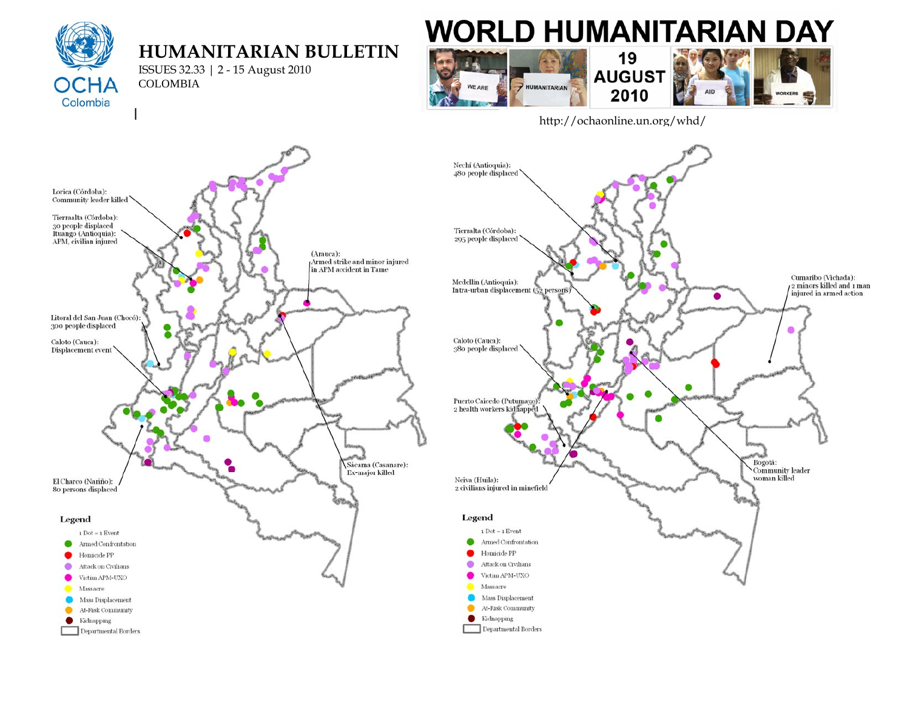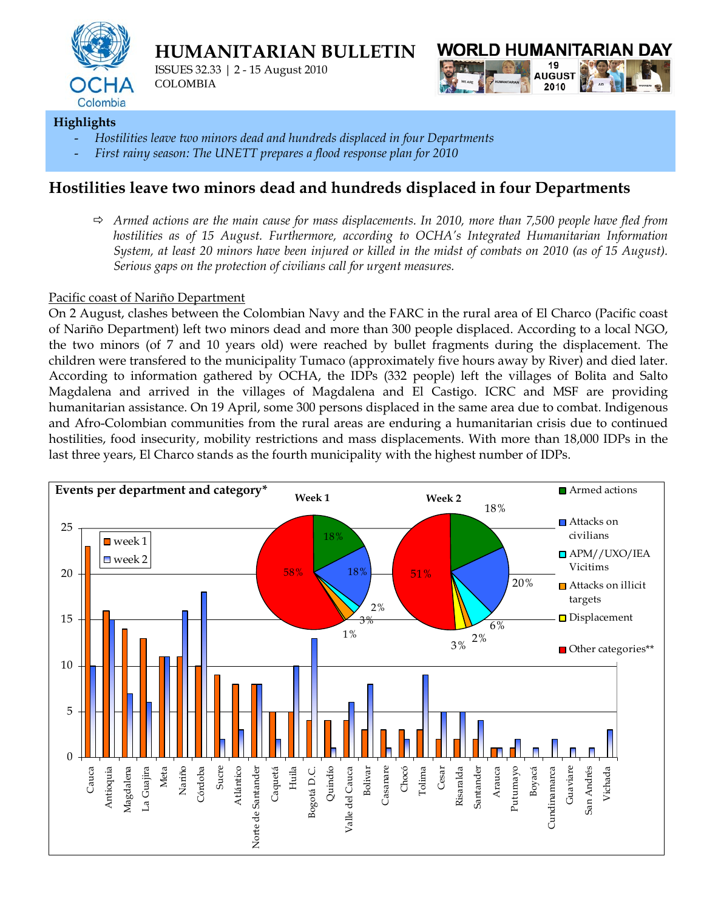

**HUMANITARIAN BULLETIN** 

ISSUES 32.33 | 2 - 15 August 2010 COLOMBIA



## **Highlights**

- *Hostilities leave two minors dead and hundreds displaced in four Departments*
- First rainy season: The UNETT prepares a flood response plan for 2010

# **Hostilities leave two minors dead and hundreds displaced in four Departments**

Ö *Armed actions are the main cause for mass displacements. In 2010, more than 7,500 people have fled from hostilities as of 15 August. Furthermore, according to OCHA's Integrated Humanitarian Information System, at least 20 minors have been injured or killed in the midst of combats on 2010 (as of 15 August). Serious gaps on the protection of civilians call for urgent measures.*

### Pacific coast of Nariño Department

On 2 August, clashes between the Colombian Navy and the FARC in the rural area of El Charco (Pacific coast of Nariño Department) left two minors dead and more than 300 people displaced. According to a local NGO, the two minors (of 7 and 10 years old) were reached by bullet fragments during the displacement. The children were transfered to the municipality Tumaco (approximately five hours away by River) and died later. According to information gathered by OCHA, the IDPs (332 people) left the villages of Bolita and Salto Magdalena and arrived in the villages of Magdalena and El Castigo. ICRC and MSF are providing humanitarian assistance. On 19 April, some 300 persons displaced in the same area due to combat. Indigenous and Afro-Colombian communities from the rural areas are enduring a humanitarian crisis due to continued hostilities, food insecurity, mobility restrictions and mass displacements. With more than 18,000 IDPs in the last three years, El Charco stands as the fourth municipality with the highest number of IDPs.

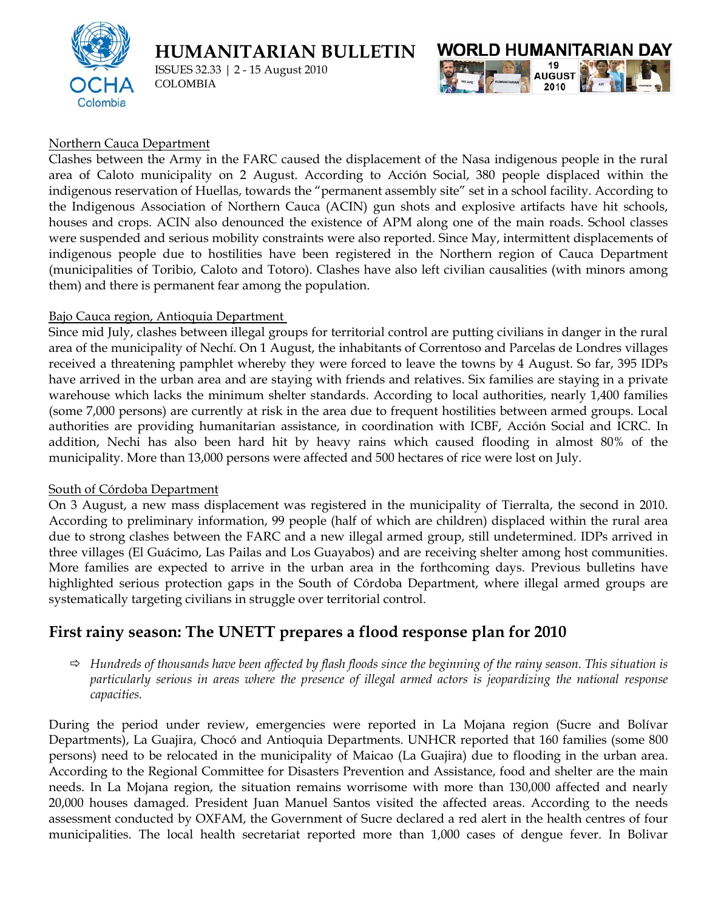

**HUMANITARIAN BULLETIN** 

ISSUES 32.33 | 2 - 15 August 2010 COLOMBIA



#### Northern Cauca Department

Clashes between the Army in the FARC caused the displacement of the Nasa indigenous people in the rural area of Caloto municipality on 2 August. According to Acción Social, 380 people displaced within the indigenous reservation of Huellas, towards the "permanent assembly site" set in a school facility. According to the Indigenous Association of Northern Cauca (ACIN) gun shots and explosive artifacts have hit schools, houses and crops. ACIN also denounced the existence of APM along one of the main roads. School classes were suspended and serious mobility constraints were also reported. Since May, intermittent displacements of indigenous people due to hostilities have been registered in the Northern region of Cauca Department (municipalities of Toribio, Caloto and Totoro). Clashes have also left civilian causalities (with minors among them) and there is permanent fear among the population.

#### Bajo Cauca region, Antioquia Department

Since mid July, clashes between illegal groups for territorial control are putting civilians in danger in the rural area of the municipality of Nechí. On 1 August, the inhabitants of Correntoso and Parcelas de Londres villages received a threatening pamphlet whereby they were forced to leave the towns by 4 August. So far, 395 IDPs have arrived in the urban area and are staying with friends and relatives. Six families are staying in a private warehouse which lacks the minimum shelter standards. According to local authorities, nearly 1,400 families (some 7,000 persons) are currently at risk in the area due to frequent hostilities between armed groups. Local authorities are providing humanitarian assistance, in coordination with ICBF, Acción Social and ICRC. In addition, Nechi has also been hard hit by heavy rains which caused flooding in almost 80% of the municipality. More than 13,000 persons were affected and 500 hectares of rice were lost on July.

#### South of Córdoba Department

On 3 August, a new mass displacement was registered in the municipality of Tierralta, the second in 2010. According to preliminary information, 99 people (half of which are children) displaced within the rural area due to strong clashes between the FARC and a new illegal armed group, still undetermined. IDPs arrived in three villages (El Guácimo, Las Pailas and Los Guayabos) and are receiving shelter among host communities. More families are expected to arrive in the urban area in the forthcoming days. Previous bulletins have highlighted serious protection gaps in the South of Córdoba Department, where illegal armed groups are systematically targeting civilians in struggle over territorial control.

## **First rainy season: The UNETT prepares a flood response plan for 2010**

 $\Rightarrow$  *Hundreds of thousands have been affected by flash floods since the beginning of the rainy season. This situation is particularly serious in areas where the presence of illegal armed actors is jeopardizing the national response capacities.* 

During the period under review, emergencies were reported in La Mojana region (Sucre and Bolívar Departments), La Guajira, Chocó and Antioquia Departments. UNHCR reported that 160 families (some 800 persons) need to be relocated in the municipality of Maicao (La Guajira) due to flooding in the urban area. According to the Regional Committee for Disasters Prevention and Assistance, food and shelter are the main needs. In La Mojana region, the situation remains worrisome with more than 130,000 affected and nearly 20,000 houses damaged. President Juan Manuel Santos visited the affected areas. According to the needs assessment conducted by OXFAM, the Government of Sucre declared a red alert in the health centres of four municipalities. The local health secretariat reported more than 1,000 cases of dengue fever. In Bolivar